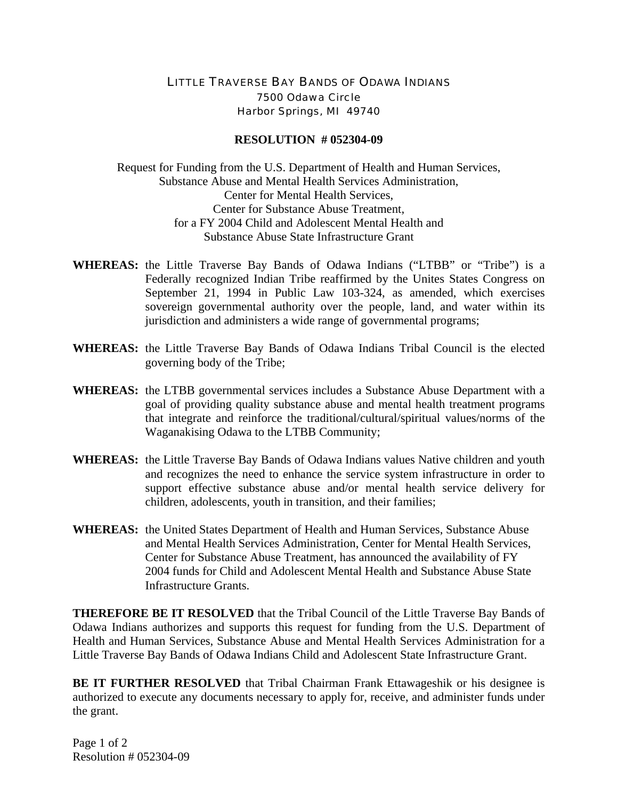## LITTLE TRAVERSE BAY BANDS OF ODAWA INDIANS 7500 Odawa Circle Harbor Springs, MI 49740

## **RESOLUTION # 052304-09**

Request for Funding from the U.S. Department of Health and Human Services, Substance Abuse and Mental Health Services Administration, Center for Mental Health Services, Center for Substance Abuse Treatment, for a FY 2004 Child and Adolescent Mental Health and Substance Abuse State Infrastructure Grant

- **WHEREAS:** the Little Traverse Bay Bands of Odawa Indians ("LTBB" or "Tribe") is a Federally recognized Indian Tribe reaffirmed by the Unites States Congress on September 21, 1994 in Public Law 103-324, as amended, which exercises sovereign governmental authority over the people, land, and water within its jurisdiction and administers a wide range of governmental programs;
- **WHEREAS:** the Little Traverse Bay Bands of Odawa Indians Tribal Council is the elected governing body of the Tribe;
- **WHEREAS:** the LTBB governmental services includes a Substance Abuse Department with a goal of providing quality substance abuse and mental health treatment programs that integrate and reinforce the traditional/cultural/spiritual values/norms of the Waganakising Odawa to the LTBB Community;
- **WHEREAS:** the Little Traverse Bay Bands of Odawa Indians values Native children and youth and recognizes the need to enhance the service system infrastructure in order to support effective substance abuse and/or mental health service delivery for children, adolescents, youth in transition, and their families;
- **WHEREAS:** the United States Department of Health and Human Services, Substance Abuse and Mental Health Services Administration, Center for Mental Health Services, Center for Substance Abuse Treatment, has announced the availability of FY 2004 funds for Child and Adolescent Mental Health and Substance Abuse State Infrastructure Grants.

**THEREFORE BE IT RESOLVED** that the Tribal Council of the Little Traverse Bay Bands of Odawa Indians authorizes and supports this request for funding from the U.S. Department of Health and Human Services, Substance Abuse and Mental Health Services Administration for a Little Traverse Bay Bands of Odawa Indians Child and Adolescent State Infrastructure Grant.

**BE IT FURTHER RESOLVED** that Tribal Chairman Frank Ettawageshik or his designee is authorized to execute any documents necessary to apply for, receive, and administer funds under the grant.

Page 1 of 2 Resolution # 052304-09